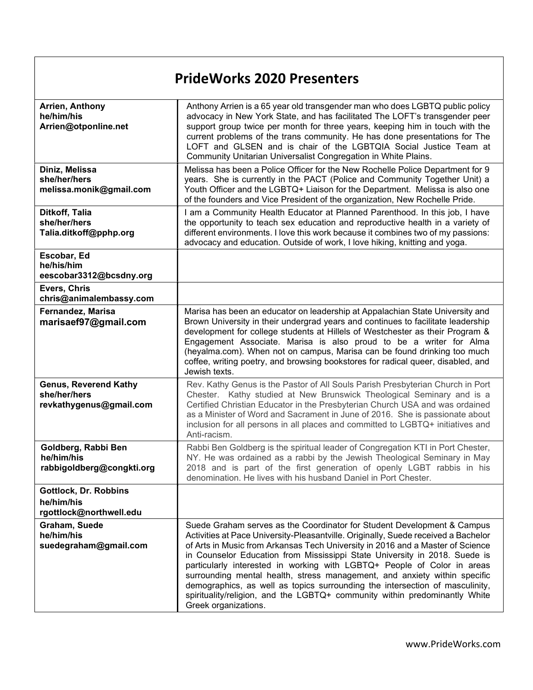## PrideWorks 2020 Presenters

| Arrien, Anthony<br>he/him/his<br>Arrien@otponline.net                   | Anthony Arrien is a 65 year old transgender man who does LGBTQ public policy<br>advocacy in New York State, and has facilitated The LOFT's transgender peer<br>support group twice per month for three years, keeping him in touch with the<br>current problems of the trans community. He has done presentations for The<br>LOFT and GLSEN and is chair of the LGBTQIA Social Justice Team at<br>Community Unitarian Universalist Congregation in White Plains.                                                                                                                                                                                                            |
|-------------------------------------------------------------------------|-----------------------------------------------------------------------------------------------------------------------------------------------------------------------------------------------------------------------------------------------------------------------------------------------------------------------------------------------------------------------------------------------------------------------------------------------------------------------------------------------------------------------------------------------------------------------------------------------------------------------------------------------------------------------------|
| Diniz, Melissa<br>she/her/hers<br>melissa.monik@gmail.com               | Melissa has been a Police Officer for the New Rochelle Police Department for 9<br>years. She is currently in the PACT (Police and Community Together Unit) a<br>Youth Officer and the LGBTQ+ Liaison for the Department. Melissa is also one<br>of the founders and Vice President of the organization, New Rochelle Pride.                                                                                                                                                                                                                                                                                                                                                 |
| Ditkoff, Talia<br>she/her/hers<br>Talia.ditkoff@pphp.org                | I am a Community Health Educator at Planned Parenthood. In this job, I have<br>the opportunity to teach sex education and reproductive health in a variety of<br>different environments. I love this work because it combines two of my passions:<br>advocacy and education. Outside of work, I love hiking, knitting and yoga.                                                                                                                                                                                                                                                                                                                                             |
| Escobar, Ed<br>he/his/him<br>eescobar3312@bcsdny.org                    |                                                                                                                                                                                                                                                                                                                                                                                                                                                                                                                                                                                                                                                                             |
| Evers, Chris<br>chris@animalembassy.com                                 |                                                                                                                                                                                                                                                                                                                                                                                                                                                                                                                                                                                                                                                                             |
| Fernandez, Marisa<br>marisaef97@gmail.com                               | Marisa has been an educator on leadership at Appalachian State University and<br>Brown University in their undergrad years and continues to facilitate leadership<br>development for college students at Hillels of Westchester as their Program &<br>Engagement Associate. Marisa is also proud to be a writer for Alma<br>(heyalma.com). When not on campus, Marisa can be found drinking too much<br>coffee, writing poetry, and browsing bookstores for radical queer, disabled, and<br>Jewish texts.                                                                                                                                                                   |
| <b>Genus, Reverend Kathy</b><br>she/her/hers<br>revkathygenus@gmail.com | Rev. Kathy Genus is the Pastor of All Souls Parish Presbyterian Church in Port<br>Chester. Kathy studied at New Brunswick Theological Seminary and is a<br>Certified Christian Educator in the Presbyterian Church USA and was ordained<br>as a Minister of Word and Sacrament in June of 2016. She is passionate about<br>inclusion for all persons in all places and committed to LGBTQ+ initiatives and<br>Anti-racism.                                                                                                                                                                                                                                                  |
| Goldberg, Rabbi Ben<br>he/him/his<br>rabbigoldberg@congkti.org          | Rabbi Ben Goldberg is the spiritual leader of Congregation KTI in Port Chester,<br>NY. He was ordained as a rabbi by the Jewish Theological Seminary in May<br>2018 and is part of the first generation of openly LGBT rabbis in his<br>denomination. He lives with his husband Daniel in Port Chester.                                                                                                                                                                                                                                                                                                                                                                     |
| Gottlock, Dr. Robbins<br>he/him/his<br>rgottlock@northwell.edu          |                                                                                                                                                                                                                                                                                                                                                                                                                                                                                                                                                                                                                                                                             |
| Graham, Suede<br>he/him/his<br>suedegraham@gmail.com                    | Suede Graham serves as the Coordinator for Student Development & Campus<br>Activities at Pace University-Pleasantville. Originally, Suede received a Bachelor<br>of Arts in Music from Arkansas Tech University in 2016 and a Master of Science<br>in Counselor Education from Mississippi State University in 2018. Suede is<br>particularly interested in working with LGBTQ+ People of Color in areas<br>surrounding mental health, stress management, and anxiety within specific<br>demographics, as well as topics surrounding the intersection of masculinity,<br>spirituality/religion, and the LGBTQ+ community within predominantly White<br>Greek organizations. |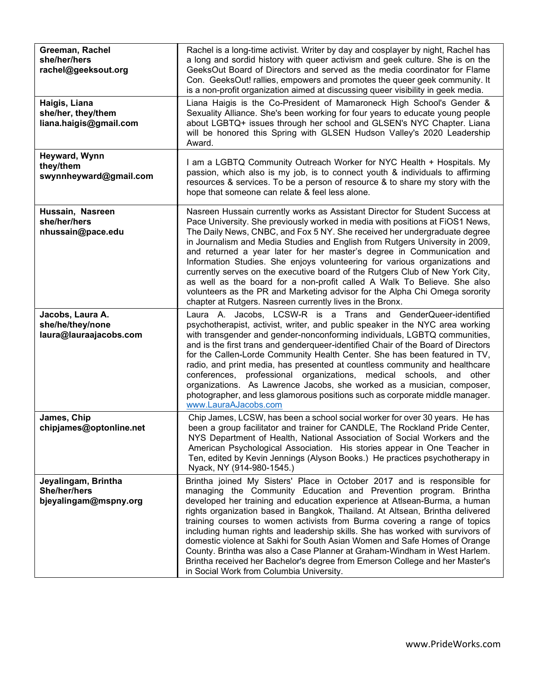| Greeman, Rachel<br>she/her/hers<br>rachel@geeksout.org         | Rachel is a long-time activist. Writer by day and cosplayer by night, Rachel has<br>a long and sordid history with queer activism and geek culture. She is on the<br>GeeksOut Board of Directors and served as the media coordinator for Flame<br>Con. GeeksOut! rallies, empowers and promotes the queer geek community. It<br>is a non-profit organization aimed at discussing queer visibility in geek media.                                                                                                                                                                                                                                                                                                                                                                            |
|----------------------------------------------------------------|---------------------------------------------------------------------------------------------------------------------------------------------------------------------------------------------------------------------------------------------------------------------------------------------------------------------------------------------------------------------------------------------------------------------------------------------------------------------------------------------------------------------------------------------------------------------------------------------------------------------------------------------------------------------------------------------------------------------------------------------------------------------------------------------|
| Haigis, Liana<br>she/her, they/them<br>liana.haigis@gmail.com  | Liana Haigis is the Co-President of Mamaroneck High School's Gender &<br>Sexuality Alliance. She's been working for four years to educate young people<br>about LGBTQ+ issues through her school and GLSEN's NYC Chapter. Liana<br>will be honored this Spring with GLSEN Hudson Valley's 2020 Leadership<br>Award.                                                                                                                                                                                                                                                                                                                                                                                                                                                                         |
| Heyward, Wynn<br>they/them<br>swynnheyward@gmail.com           | I am a LGBTQ Community Outreach Worker for NYC Health + Hospitals. My<br>passion, which also is my job, is to connect youth & individuals to affirming<br>resources & services. To be a person of resource & to share my story with the<br>hope that someone can relate & feel less alone.                                                                                                                                                                                                                                                                                                                                                                                                                                                                                                  |
| Hussain, Nasreen<br>she/her/hers<br>nhussain@pace.edu          | Nasreen Hussain currently works as Assistant Director for Student Success at<br>Pace University. She previously worked in media with positions at FiOS1 News,<br>The Daily News, CNBC, and Fox 5 NY. She received her undergraduate degree<br>in Journalism and Media Studies and English from Rutgers University in 2009,<br>and returned a year later for her master's degree in Communication and<br>Information Studies. She enjoys volunteering for various organizations and<br>currently serves on the executive board of the Rutgers Club of New York City,<br>as well as the board for a non-profit called A Walk To Believe. She also<br>volunteers as the PR and Marketing advisor for the Alpha Chi Omega sorority<br>chapter at Rutgers. Nasreen currently lives in the Bronx. |
| Jacobs, Laura A.<br>she/he/they/none<br>laura@lauraajacobs.com | Jacobs, LCSW-R is a Trans and GenderQueer-identified<br>Laura A.<br>psychotherapist, activist, writer, and public speaker in the NYC area working<br>with transgender and gender-nonconforming individuals, LGBTQ communities,<br>and is the first trans and genderqueer-identified Chair of the Board of Directors<br>for the Callen-Lorde Community Health Center. She has been featured in TV,<br>radio, and print media, has presented at countless community and healthcare<br>conferences, professional organizations, medical schools, and other<br>organizations. As Lawrence Jacobs, she worked as a musician, composer,<br>photographer, and less glamorous positions such as corporate middle manager.<br>www.LauraAJacobs.com                                                   |
| James, Chip<br>chipjames@optonline.net                         | Chip James, LCSW, has been a school social worker for over 30 years. He has<br>been a group facilitator and trainer for CANDLE, The Rockland Pride Center,<br>NYS Department of Health, National Association of Social Workers and the<br>American Psychological Association. His stories appear in One Teacher in<br>Ten, edited by Kevin Jennings (Alyson Books.) He practices psychotherapy in<br>Nyack, NY (914-980-1545.)                                                                                                                                                                                                                                                                                                                                                              |
| Jeyalingam, Brintha<br>She/her/hers<br>bjeyalingam@mspny.org   | Brintha joined My Sisters' Place in October 2017 and is responsible for<br>managing the Community Education and Prevention program. Brintha<br>developed her training and education experience at Atlsean-Burma, a human<br>rights organization based in Bangkok, Thailand. At Altsean, Brintha delivered<br>training courses to women activists from Burma covering a range of topics<br>including human rights and leadership skills. She has worked with survivors of<br>domestic violence at Sakhi for South Asian Women and Safe Homes of Orange<br>County. Brintha was also a Case Planner at Graham-Windham in West Harlem.<br>Brintha received her Bachelor's degree from Emerson College and her Master's<br>in Social Work from Columbia University.                              |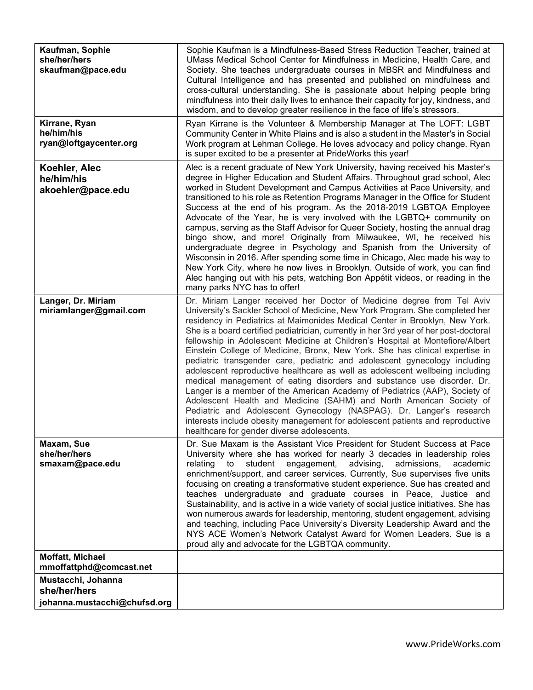| Kaufman, Sophie<br>she/her/hers<br>skaufman@pace.edu               | Sophie Kaufman is a Mindfulness-Based Stress Reduction Teacher, trained at<br>UMass Medical School Center for Mindfulness in Medicine, Health Care, and<br>Society. She teaches undergraduate courses in MBSR and Mindfulness and<br>Cultural Intelligence and has presented and published on mindfulness and<br>cross-cultural understanding. She is passionate about helping people bring<br>mindfulness into their daily lives to enhance their capacity for joy, kindness, and<br>wisdom, and to develop greater resilience in the face of life's stressors.                                                                                                                                                                                                                                                                                                                                                                                                                                                                                                                                  |
|--------------------------------------------------------------------|---------------------------------------------------------------------------------------------------------------------------------------------------------------------------------------------------------------------------------------------------------------------------------------------------------------------------------------------------------------------------------------------------------------------------------------------------------------------------------------------------------------------------------------------------------------------------------------------------------------------------------------------------------------------------------------------------------------------------------------------------------------------------------------------------------------------------------------------------------------------------------------------------------------------------------------------------------------------------------------------------------------------------------------------------------------------------------------------------|
| Kirrane, Ryan<br>he/him/his<br>ryan@loftgaycenter.org              | Ryan Kirrane is the Volunteer & Membership Manager at The LOFT: LGBT<br>Community Center in White Plains and is also a student in the Master's in Social<br>Work program at Lehman College. He loves advocacy and policy change. Ryan<br>is super excited to be a presenter at PrideWorks this year!                                                                                                                                                                                                                                                                                                                                                                                                                                                                                                                                                                                                                                                                                                                                                                                              |
| Koehler, Alec<br>he/him/his<br>akoehler@pace.edu                   | Alec is a recent graduate of New York University, having received his Master's<br>degree in Higher Education and Student Affairs. Throughout grad school, Alec<br>worked in Student Development and Campus Activities at Pace University, and<br>transitioned to his role as Retention Programs Manager in the Office for Student<br>Success at the end of his program. As the 2018-2019 LGBTQA Employee<br>Advocate of the Year, he is very involved with the LGBTQ+ community on<br>campus, serving as the Staff Advisor for Queer Society, hosting the annual drag<br>bingo show, and more! Originally from Milwaukee, WI, he received his<br>undergraduate degree in Psychology and Spanish from the University of<br>Wisconsin in 2016. After spending some time in Chicago, Alec made his way to<br>New York City, where he now lives in Brooklyn. Outside of work, you can find<br>Alec hanging out with his pets, watching Bon Appétit videos, or reading in the<br>many parks NYC has to offer!                                                                                          |
| Langer, Dr. Miriam<br>miriamlanger@gmail.com                       | Dr. Miriam Langer received her Doctor of Medicine degree from Tel Aviv<br>University's Sackler School of Medicine, New York Program. She completed her<br>residency in Pediatrics at Maimonides Medical Center in Brooklyn, New York.<br>She is a board certified pediatrician, currently in her 3rd year of her post-doctoral<br>fellowship in Adolescent Medicine at Children's Hospital at Montefiore/Albert<br>Einstein College of Medicine, Bronx, New York. She has clinical expertise in<br>pediatric transgender care, pediatric and adolescent gynecology including<br>adolescent reproductive healthcare as well as adolescent wellbeing including<br>medical management of eating disorders and substance use disorder. Dr.<br>Langer is a member of the American Academy of Pediatrics (AAP), Society of<br>Adolescent Health and Medicine (SAHM) and North American Society of<br>Pediatric and Adolescent Gynecology (NASPAG). Dr. Langer's research<br>interests include obesity management for adolescent patients and reproductive<br>healthcare for gender diverse adolescents. |
| Maxam, Sue<br>she/her/hers<br>smaxam@pace.edu                      | Dr. Sue Maxam is the Assistant Vice President for Student Success at Pace<br>University where she has worked for nearly 3 decades in leadership roles<br>advising,<br>relating<br>to<br>student engagement,<br>admissions,<br>academic<br>enrichment/support, and career services. Currently, Sue supervises five units<br>focusing on creating a transformative student experience. Sue has created and<br>teaches undergraduate and graduate courses in Peace, Justice and<br>Sustainability, and is active in a wide variety of social justice initiatives. She has<br>won numerous awards for leadership, mentoring, student engagement, advising<br>and teaching, including Pace University's Diversity Leadership Award and the<br>NYS ACE Women's Network Catalyst Award for Women Leaders. Sue is a<br>proud ally and advocate for the LGBTQA community.                                                                                                                                                                                                                                  |
| <b>Moffatt, Michael</b><br>mmoffattphd@comcast.net                 |                                                                                                                                                                                                                                                                                                                                                                                                                                                                                                                                                                                                                                                                                                                                                                                                                                                                                                                                                                                                                                                                                                   |
| Mustacchi, Johanna<br>she/her/hers<br>johanna.mustacchi@chufsd.org |                                                                                                                                                                                                                                                                                                                                                                                                                                                                                                                                                                                                                                                                                                                                                                                                                                                                                                                                                                                                                                                                                                   |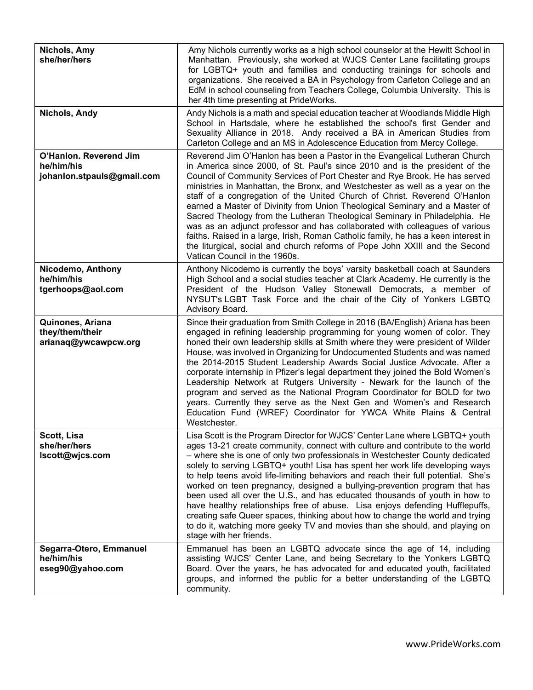| Nichols, Amy<br>she/her/hers                                       | Amy Nichols currently works as a high school counselor at the Hewitt School in<br>Manhattan. Previously, she worked at WJCS Center Lane facilitating groups<br>for LGBTQ+ youth and families and conducting trainings for schools and<br>organizations. She received a BA in Psychology from Carleton College and an<br>EdM in school counseling from Teachers College, Columbia University. This is<br>her 4th time presenting at PrideWorks.                                                                                                                                                                                                                                                                                                                                                                                                          |
|--------------------------------------------------------------------|---------------------------------------------------------------------------------------------------------------------------------------------------------------------------------------------------------------------------------------------------------------------------------------------------------------------------------------------------------------------------------------------------------------------------------------------------------------------------------------------------------------------------------------------------------------------------------------------------------------------------------------------------------------------------------------------------------------------------------------------------------------------------------------------------------------------------------------------------------|
| Nichols, Andy                                                      | Andy Nichols is a math and special education teacher at Woodlands Middle High<br>School in Hartsdale, where he established the school's first Gender and<br>Sexuality Alliance in 2018. Andy received a BA in American Studies from<br>Carleton College and an MS in Adolescence Education from Mercy College.                                                                                                                                                                                                                                                                                                                                                                                                                                                                                                                                          |
| O'Hanlon. Reverend Jim<br>he/him/his<br>johanlon.stpauls@gmail.com | Reverend Jim O'Hanlon has been a Pastor in the Evangelical Lutheran Church<br>in America since 2000, of St. Paul's since 2010 and is the president of the<br>Council of Community Services of Port Chester and Rye Brook. He has served<br>ministries in Manhattan, the Bronx, and Westchester as well as a year on the<br>staff of a congregation of the United Church of Christ. Reverend O'Hanlon<br>earned a Master of Divinity from Union Theological Seminary and a Master of<br>Sacred Theology from the Lutheran Theological Seminary in Philadelphia. He<br>was as an adjunct professor and has collaborated with colleagues of various<br>faiths. Raised in a large, Irish, Roman Catholic family, he has a keen interest in<br>the liturgical, social and church reforms of Pope John XXIII and the Second<br>Vatican Council in the 1960s.  |
| Nicodemo, Anthony<br>he/him/his<br>tgerhoops@aol.com               | Anthony Nicodemo is currently the boys' varsity basketball coach at Saunders<br>High School and a social studies teacher at Clark Academy. He currently is the<br>President of the Hudson Valley Stonewall Democrats, a member of<br>NYSUT's LGBT Task Force and the chair of the City of Yonkers LGBTQ<br>Advisory Board.                                                                                                                                                                                                                                                                                                                                                                                                                                                                                                                              |
| Quinones, Ariana<br>they/them/their<br>arianaq@ywcawpcw.org        | Since their graduation from Smith College in 2016 (BA/English) Ariana has been<br>engaged in refining leadership programming for young women of color. They<br>honed their own leadership skills at Smith where they were president of Wilder<br>House, was involved in Organizing for Undocumented Students and was named<br>the 2014-2015 Student Leadership Awards Social Justice Advocate. After a<br>corporate internship in Pfizer's legal department they joined the Bold Women's<br>Leadership Network at Rutgers University - Newark for the launch of the<br>program and served as the National Program Coordinator for BOLD for two<br>years. Currently they serve as the Next Gen and Women's and Research<br>Education Fund (WREF) Coordinator for YWCA White Plains & Central<br>Westchester.                                             |
| Scott, Lisa<br>she/her/hers<br>Iscott@wjcs.com                     | Lisa Scott is the Program Director for WJCS' Center Lane where LGBTQ+ youth<br>ages 13-21 create community, connect with culture and contribute to the world<br>- where she is one of only two professionals in Westchester County dedicated<br>solely to serving LGBTQ+ youth! Lisa has spent her work life developing ways<br>to help teens avoid life-limiting behaviors and reach their full potential. She's<br>worked on teen pregnancy, designed a bullying-prevention program that has<br>been used all over the U.S., and has educated thousands of youth in how to<br>have healthy relationships free of abuse. Lisa enjoys defending Hufflepuffs,<br>creating safe Queer spaces, thinking about how to change the world and trying<br>to do it, watching more geeky TV and movies than she should, and playing on<br>stage with her friends. |
| Segarra-Otero, Emmanuel<br>he/him/his<br>eseg90@yahoo.com          | Emmanuel has been an LGBTQ advocate since the age of 14, including<br>assisting WJCS' Center Lane, and being Secretary to the Yonkers LGBTQ<br>Board. Over the years, he has advocated for and educated youth, facilitated<br>groups, and informed the public for a better understanding of the LGBTQ<br>community.                                                                                                                                                                                                                                                                                                                                                                                                                                                                                                                                     |